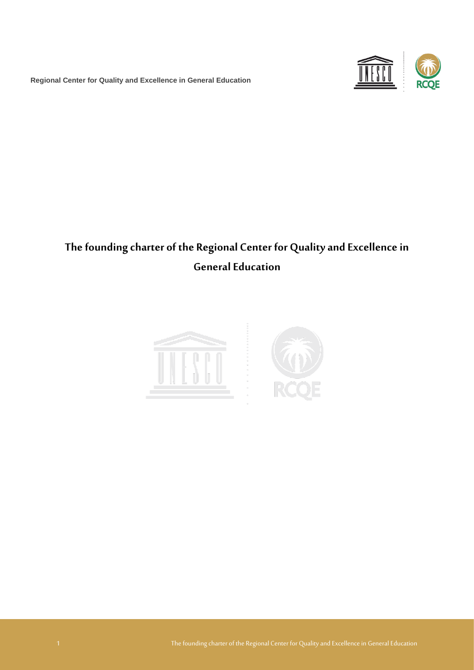**Regional Center for Quality and Excellence in General Education**



# **The founding charter of the Regional Center for Quality and Excellence in General Education**

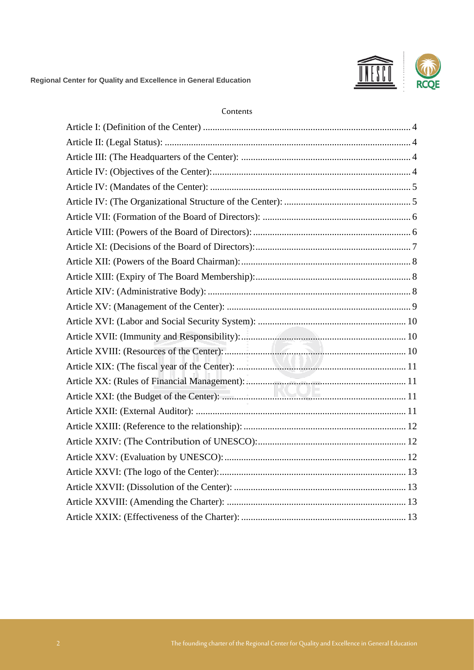

#### Contents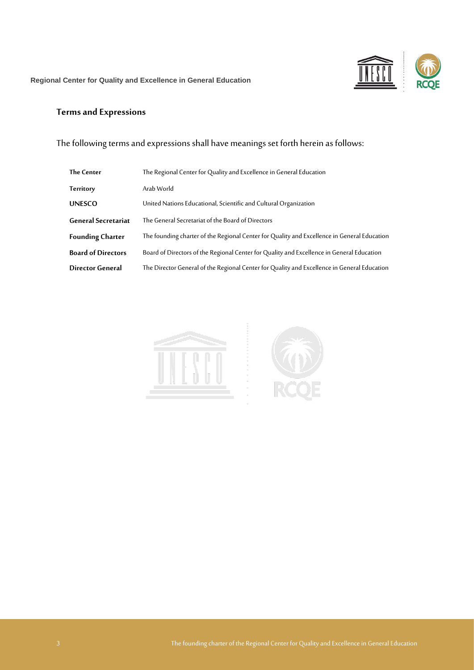

## **Terms and Expressions**

The following terms and expressions shall have meanings set forth herein as follows:

| <b>The Center</b>          | The Regional Center for Quality and Excellence in General Education                         |
|----------------------------|---------------------------------------------------------------------------------------------|
| Territory                  | Arab World                                                                                  |
| <b>UNESCO</b>              | United Nations Educational, Scientific and Cultural Organization                            |
| <b>General Secretariat</b> | The General Secretariat of the Board of Directors                                           |
| <b>Founding Charter</b>    | The founding charter of the Regional Center for Quality and Excellence in General Education |
| <b>Board of Directors</b>  | Board of Directors of the Regional Center for Quality and Excellence in General Education   |
| Director General           | The Director General of the Regional Center for Quality and Excellence in General Education |



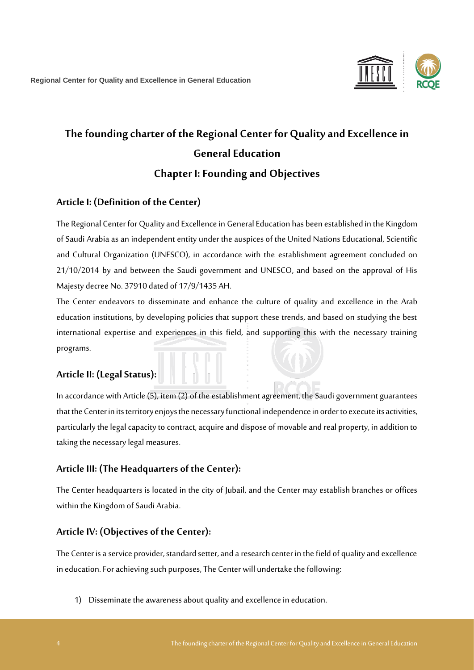

# **The founding charter of the Regional Center for Quality and Excellence in General Education Chapter I: Founding and Objectives**

#### <span id="page-3-0"></span>**Article I: (Definition of the Center)**

The Regional Center for Quality and Excellence in GeneralEducation has been established in the Kingdom of Saudi Arabia as an independent entity under the auspices of the United Nations Educational, Scientific and Cultural Organization (UNESCO), in accordance with the establishment agreement concluded on 21/10/2014 by and between the Saudi government and UNESCO, and based on the approval of His Majesty decree No. 37910 dated of 17/9/1435 AH.

The Center endeavors to disseminate and enhance the culture of quality and excellence in the Arab education institutions, by developing policies that support these trends, and based on studying the best international expertise and experiences in this field, and supporting this with the necessary training programs.

# <span id="page-3-1"></span>**Article II: (Legal Status):**

In accordance with Article (5), item (2) of the establishment agreement, the Saudi government guarantees that the Center in its territory enjoys the necessary functional independence in order to execute its activities, particularly the legal capacity to contract, acquire and dispose of movable and real property, in addition to taking the necessary legal measures.

## <span id="page-3-2"></span>**Article III: (The Headquarters of the Center):**

The Center headquarters is located in the city of Jubail, and the Center may establish branches or offices within the Kingdom of Saudi Arabia.

#### <span id="page-3-3"></span>**Article IV: (Objectives of the Center):**

The Center is a service provider, standard setter, and a research center in the field of quality and excellence in education. For achieving such purposes, The Center will undertake the following:

1) Disseminate the awareness about quality and excellence in education.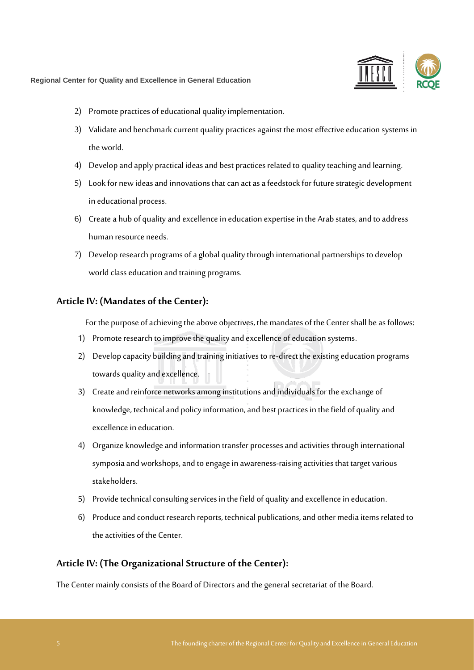

- 2) Promote practices of educational quality implementation.
- 3) Validate and benchmark current quality practices against the most effective education systems in the world.
- 4) Develop and apply practical ideas and best practices related to quality teaching and learning.
- 5) Look for new ideas and innovations that can act as a feedstock for future strategic development in educational process.
- 6) Create a hub of quality and excellence in education expertise in the Arab states, and to address human resource needs.
- 7) Develop research programs of a global quality through international partnerships to develop world class education and training programs.

#### <span id="page-4-0"></span>**Article IV: (Mandates of the Center):**

For the purpose of achieving the above objectives, the mandates of the Center shall be as follows:

- 1) Promote research to improve the quality and excellence of education systems.
- 2) Develop capacity building and training initiatives to re-direct the existing education programs towards quality and excellence.
- 3) Create and reinforce networks among institutions and individuals for the exchange of knowledge, technical and policy information, and best practices in the field of quality and excellence in education.
- 4) Organize knowledge and information transfer processes and activities through international symposia and workshops, and to engage in awareness-raising activities that target various stakeholders.
- 5) Provide technical consulting services in the field of quality and excellence in education.
- 6) Produce and conduct research reports, technical publications, and other media items related to the activities of the Center.

#### <span id="page-4-1"></span>**Article IV: (The Organizational Structure of the Center):**

The Center mainly consists of the Board of Directors and the general secretariat of the Board.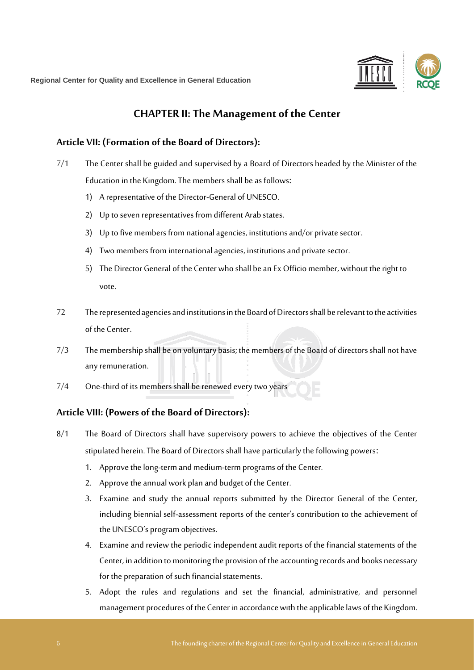

# **CHAPTER II: The Management of the Center**

#### <span id="page-5-0"></span>**Article VII: (Formation of the Board of Directors):**

- 7/1 The Center shall be guided and supervised by a Board of Directors headed by the Minister of the Education in the Kingdom. The members shall be as follows:
	- 1) A representative of the Director-General of UNESCO.
	- 2) Up to seven representatives from different Arab states.
	- 3) Up to five members from national agencies, institutions and/or private sector.
	- 4) Two members from international agencies, institutions and private sector.
	- 5) The Director General of the Center who shall be an Ex Officio member, without the right to vote.
- 72 The represented agencies and institutions in the Board of Directors shall be relevant to the activities of the Center.
- 7/3 The membership shall be on voluntary basis; the members of the Board of directors shall not have any remuneration.
- 7/4 One-third of its members shall be renewed every two years

#### <span id="page-5-1"></span>**Article VIII: (Powers of the Board of Directors):**

- 8/1 The Board of Directors shall have supervisory powers to achieve the objectives of the Center stipulated herein. The Board of Directors shall have particularly the following powers:
	- 1. Approve the long-term and medium-term programs of the Center.
	- 2. Approve the annual work plan and budget of the Center.
	- 3. Examine and study the annual reports submitted by the Director General of the Center, including biennial self-assessment reports of the center's contribution to the achievement of the UNESCO's program objectives.
	- 4. Examine and review the periodic independent audit reports of the financial statements of the Center, in addition to monitoring the provision of the accounting records and books necessary for the preparation of such financial statements.
	- 5. Adopt the rules and regulations and set the financial, administrative, and personnel management procedures of the Center in accordance with the applicable laws of the Kingdom.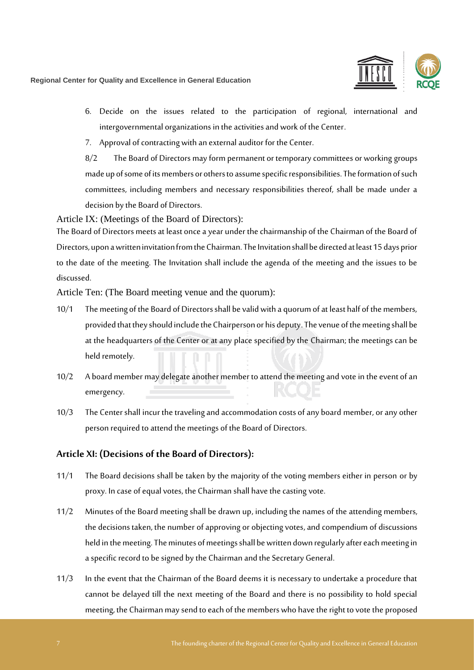

- 6. Decide on the issues related to the participation of regional, international and intergovernmental organizations in the activities and work of the Center.
- 7. Approval of contracting with an external auditor for the Center.

8/2 The Board of Directors may form permanent or temporary committees or working groups made up of some of its members or others to assume specific responsibilities. The formation of such committees, including members and necessary responsibilities thereof, shall be made under a decision by the Board of Directors.

Article IX: (Meetings of the Board of Directors):

The Board of Directors meets at least once a year under the chairmanship of the Chairman of the Board of Directors, upon a written invitation from the Chairman. The Invitation shall be directed at least 15 days prior to the date of the meeting. The Invitation shall include the agenda of the meeting and the issues to be discussed.

Article Ten: (The Board meeting venue and the quorum):

- 10/1 The meeting of the Board of Directors shall be valid with a quorum of at least half of the members, provided that they should include the Chairperson or his deputy. The venue of the meeting shall be at the headquarters of the Center or at any place specified by the Chairman; the meetings can be held remotely.
- 10/2 A board member may delegate another member to attend the meeting and vote in the event of an emergency.
- 10/3 The Center shall incur the traveling and accommodation costs of any board member, or any other person required to attend the meetings of the Board of Directors.

#### <span id="page-6-0"></span>**Article XI: (Decisions of the Board of Directors):**

- 11/1 The Board decisions shall be taken by the majority of the voting members either in person or by proxy. In case of equal votes, the Chairman shall have the casting vote.
- 11/2 Minutes of the Board meeting shall be drawn up, including the names of the attending members, the decisions taken, the number of approving or objecting votes, and compendium of discussions held in the meeting. The minutes of meetings shall be written down regularly after each meeting in a specific record to be signed by the Chairman and the Secretary General.
- 11/3 In the event that the Chairman of the Board deems it is necessary to undertake a procedure that cannot be delayed till the next meeting of the Board and there is no possibility to hold special meeting, the Chairman maysend to each of the members who have the right to vote the proposed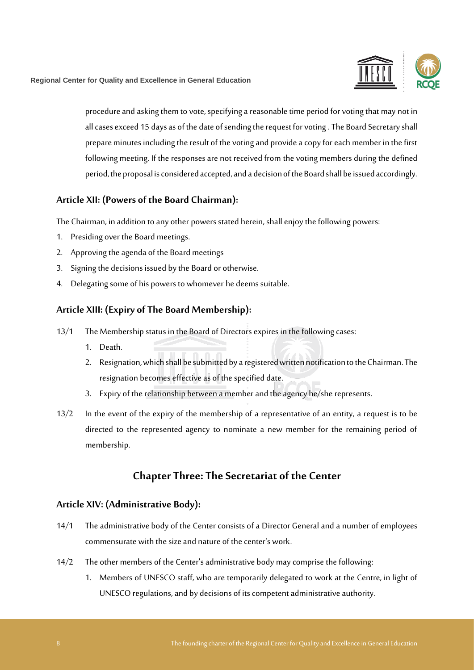

procedure and asking them to vote, specifying a reasonable time period for voting that may not in all cases exceed 15 days as of the date of sending the request for voting. The Board Secretary shall prepare minutes including the result of the voting and provide a copy for each member in the first following meeting. If the responses are not received from the voting members during the defined period, the proposal is considered accepted, and a decision of the Board shall be issued accordingly.

#### <span id="page-7-0"></span>**Article XII: (Powers of the Board Chairman):**

The Chairman, in addition to any other powers stated herein, shall enjoy the following powers:

- 1. Presiding over the Board meetings.
- 2. Approving the agenda of the Board meetings
- 3. Signing the decisions issued by the Board or otherwise.
- 4. Delegating some of his powers to whomever he deems suitable.

## <span id="page-7-1"></span>**Article XIII: (Expiry of The Board Membership):**

- 13/1 The Membership status in the Board of Directors expires in the following cases:
	- 1. Death.
	- 2. Resignation, which shall be submitted by a registered written notification to the Chairman. The resignation becomes effective as of the specified date.
	- 3. Expiry of the relationship between a member and the agency he/she represents.
- 13/2 In the event of the expiry of the membership of a representative of an entity, a request is to be directed to the represented agency to nominate a new member for the remaining period of membership.

# **Chapter Three: The Secretariat of the Center**

#### <span id="page-7-2"></span>**Article XIV: (Administrative Body):**

- 14/1 The administrative body of the Center consists of a Director General and a number of employees commensurate with the size and nature of the center's work.
- 14/2 The other members of the Center's administrative body may comprise the following:
	- 1. Members of UNESCO staff, who are temporarily delegated to work at the Centre, in light of UNESCO regulations, and by decisions of its competent administrative authority.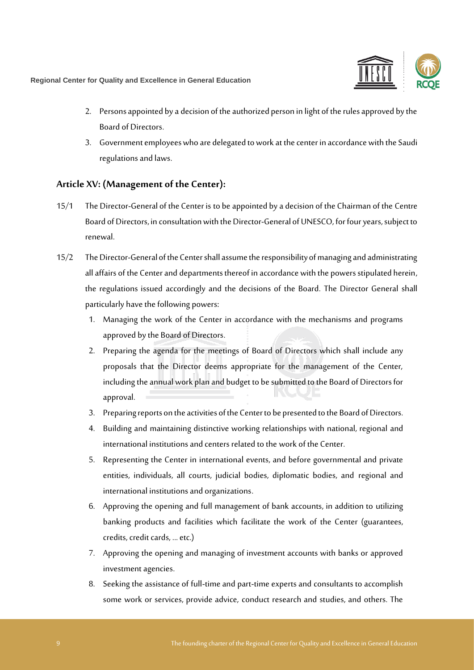

- 2. Persons appointed by a decision of the authorized person in light of the rules approved by the Board of Directors.
- 3. Government employees who are delegated to work at the center in accordance with the Saudi regulations and laws.

#### <span id="page-8-0"></span>**Article XV: (Management of the Center):**

- 15/1 The Director-General of the Center is to be appointed by a decision of the Chairman of the Centre Board of Directors, in consultation with the Director-General of UNESCO, for four years, subject to renewal.
- 15/2 The Director-General of the Center shall assume the responsibility of managing and administrating all affairs of the Center and departments thereof in accordance with the powers stipulated herein, the regulations issued accordingly and the decisions of the Board. The Director General shall particularly have the following powers:
	- 1. Managing the work of the Center in accordance with the mechanisms and programs approved by the Board of Directors.
	- 2. Preparing the agenda for the meetings of Board of Directors which shall include any proposals that the Director deems appropriate for the management of the Center, including the annual work plan and budget to be submitted to the Board of Directors for approval.
	- 3. Preparing reports on the activities of the Centerto be presented to the Board of Directors .
	- 4. Building and maintaining distinctive working relationships with national, regional and international institutions and centers related to the work of the Center.
	- 5. Representing the Center in international events, and before governmental and private entities, individuals, all courts, judicial bodies, diplomatic bodies, and regional and international institutions and organizations.
	- 6. Approving the opening and full management of bank accounts, in addition to utilizing banking products and facilities which facilitate the work of the Center (guarantees, credits, credit cards, ... etc.)
	- 7. Approving the opening and managing of investment accounts with banks or approved investment agencies.
	- 8. Seeking the assistance of full-time and part-time experts and consultants to accomplish some work or services, provide advice, conduct research and studies, and others. The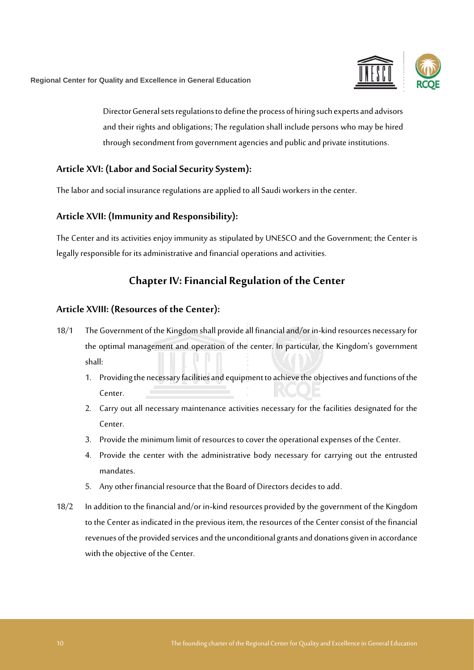Director General sets regulations to define the process of hiring such experts and advisors and their rights and obligations; The regulation shall include persons who may be hired through secondment from government agencies and public and private institutions.

#### <span id="page-9-0"></span>**Article XVI: (Labor and Social Security System):**

The labor and social insurance regulations are applied to all Saudi workers in the center.

#### <span id="page-9-1"></span>**Article XVII: (Immunity and Responsibility):**

The Center and its activities enjoy immunity as stipulated by UNESCO and the Government; the Center is legally responsible for its administrative and financial operations and activities.

# **Chapter IV: Financial Regulation of the Center**

#### <span id="page-9-2"></span>**Article XVIII: (Resources of the Center):**

- 18/1 The Government of the Kingdom shall provide all financial and/or in-kind resources necessary for the optimal management and operation of the center. In particular, the Kingdom's government shall:
	- 1. Providing the necessary facilities and equipment to achieve the objectives and functions of the Center.
	- 2. Carry out all necessary maintenance activities necessary for the facilities designated for the Center.
	- 3. Provide the minimum limit of resources to cover the operational expenses of the Center.
	- 4. Provide the center with the administrative body necessary for carrying out the entrusted mandates.
	- 5. Any other financial resource that the Board of Directors decides to add.
- 18/2 In addition to the financial and/or in-kind resources provided by the government of the Kingdom to the Center as indicated in the previous item, the resources of the Center consist of the financial revenues of the provided services and the unconditional grantsand donationsgiven in accordance with the objective of the Center.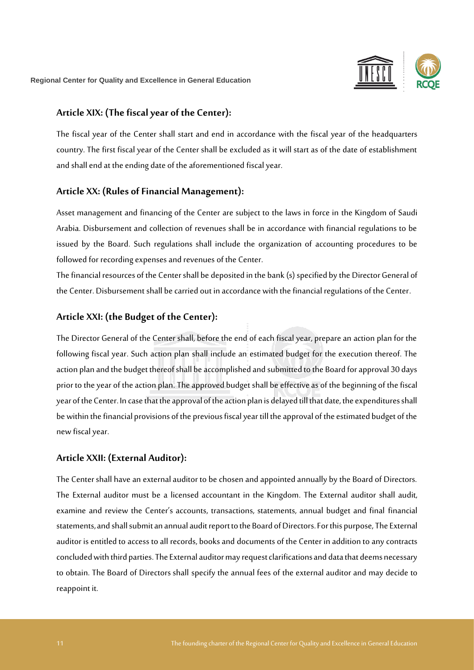

#### <span id="page-10-0"></span>**Article XIX: (The fiscal year of the Center):**

The fiscal year of the Center shall start and end in accordance with the fiscal year of the headquarters country. The first fiscalyear of the Center shall be excluded as it will start as of the date of establishment and shall end at the ending date of the aforementioned fiscal year.

#### <span id="page-10-1"></span>**Article XX: (Rules of Financial Management):**

Asset management and financing of the Center are subject to the laws in force in the Kingdom of Saudi Arabia. Disbursement and collection of revenues shall be in accordance with financial regulations to be issued by the Board. Such regulations shall include the organization of accounting procedures to be followed for recording expenses and revenues of the Center.

The financial resources of the Centershall be deposited in the bank (s) specified by the Director General of the Center. Disbursement shall be carried out in accordance with the financial regulations of the Center.

#### <span id="page-10-2"></span>**Article XXI: (the Budget of the Center):**

The Director General of the Center shall, before the end of each fiscal year, prepare an action plan for the following fiscal year. Such action plan shall include an estimated budget for the execution thereof. The action plan and the budget thereof shall be accomplished and submitted to the Board for approval 30 days prior to the year of the action plan. The approved budget shall be effective as of the beginning of the fiscal year of the Center. In case that the approval of the action plan is delayed till that date, the expenditures shall be within the financial provisions of the previous fiscal year till the approval of the estimated budget of the new fiscal year.

## <span id="page-10-3"></span>**Article XXII: (External Auditor):**

The Center shall have an external auditor to be chosen and appointed annually by the Board of Directors. The External auditor must be a licensed accountant in the Kingdom. The External auditor shall audit, examine and review the Center's accounts, transactions, statements, annual budget and final financial statements, and shall submit an annual audit report to the Board of Directors. For this purpose, The External auditor is entitled to access to all records, books and documents of the Center in addition to any contracts concludedwith third parties.The External auditor may request clarifications and data that deems necessary to obtain. The Board of Directors shall specify the annual fees of the external auditor and may decide to reappoint it.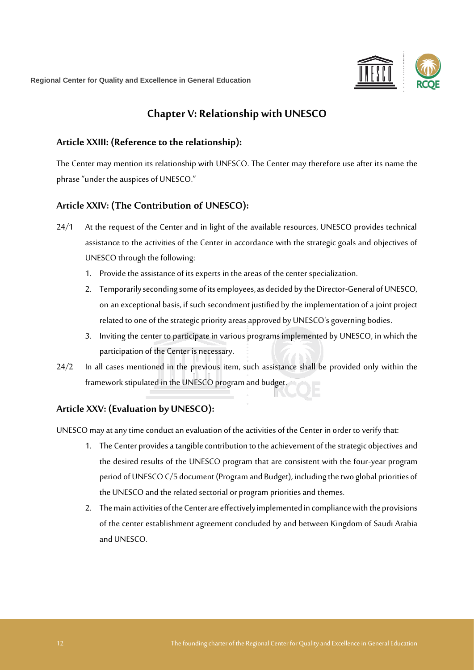

# **Chapter V: Relationship with UNESCO**

#### <span id="page-11-0"></span>**Article XXIII: (Reference to the relationship):**

The Center may mention its relationship with UNESCO. The Center may therefore use after its name the phrase "under the auspices of UNESCO."

#### <span id="page-11-1"></span>**Article XXIV: (The Contribution of UNESCO):**

- 24/1 At the request of the Center and in light of the available resources, UNESCO provides technical assistance to the activities of the Center in accordance with the strategic goals and objectives of UNESCO through the following:
	- 1. Provide the assistance of its experts in the areas of the center specialization.
	- 2. Temporarily seconding some of its employees, as decided by the Director-General of UNESCO, on an exceptional basis, if such secondment justified by the implementation of a joint project related to one of the strategic priority areas approved by UNESCO's governing bodies.
	- 3. Inviting the center to participate in various programs implemented by UNESCO, in which the participation of the Center is necessary.
- 24/2 In all cases mentioned in the previous item, such assistance shall be provided only within the framework stipulated in the UNESCO program and budget.

## <span id="page-11-2"></span>**Article XXV: (Evaluation by UNESCO):**

UNESCO may at any time conduct an evaluation of the activities of the Center in order to verifythat:

- 1. The Center provides a tangible contribution to the achievement of the strategic objectives and the desired results of the UNESCO program that are consistent with the four-year program period of UNESCO C/5 document (Program and Budget), including the two global priorities of the UNESCO and the related sectorial or program priorities and themes.
- 2. The main activities of the Center are effectively implemented in compliance with the provisions of the center establishment agreement concluded by and between Kingdom of Saudi Arabia and UNESCO.